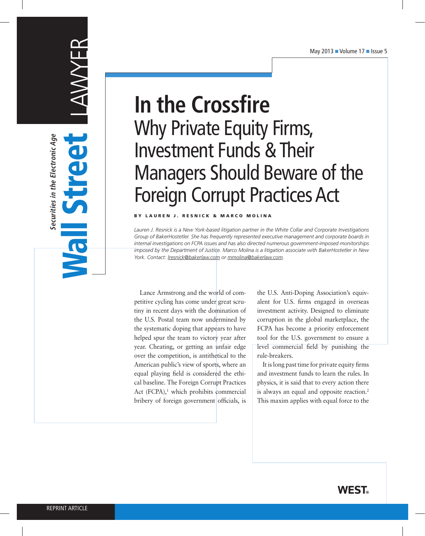# LAWYER Wall Street

S

**Securities in the Electronic Age**

Securities in the Electronic Age

# **In the Crossfire** Why Private Equity Firms, Investment Funds & Their Managers Should Beware of the Foreign Corrupt Practices Act

#### BY LAUREN J. RESNICK & MARCO MOLINA

*Lauren J. Resnick is a New York-based litigation partner in the White Collar and Corporate Investigations Group of BakerHostetler. She has frequently represented executive management and corporate boards in internal investigations on FCPA issues and has also directed numerous government-imposed monitorships imposed by the Department of Justice. Marco Molina is a litigation associate with BakerHostetler in New York. Contact: lresnick@bakerlaw.com or mmolina@bakerlaw.com.*

Lance Armstrong and the world of competitive cycling has come under great scrutiny in recent days with the domination of the U.S. Postal team now undermined by the systematic doping that appears to have helped spur the team to victory year after year. Cheating, or getting an unfair edge over the competition, is antithetical to the American public's view of sports, where an equal playing field is considered the ethical baseline. The Foreign Corrupt Practices Act  $(FCPA)$ ,<sup>1</sup> which prohibits commercial bribery of foreign government officials, is

the U.S. Anti-Doping Association's equivalent for U.S. firms engaged in overseas investment activity. Designed to eliminate corruption in the global marketplace, the FCPA has become a priority enforcement tool for the U.S. government to ensure a level commercial field by punishing the rule-breakers.

It is long past time for private equity firms and investment funds to learn the rules. In physics, it is said that to every action there is always an equal and opposite reaction.<sup>2</sup> This maxim applies with equal force to the

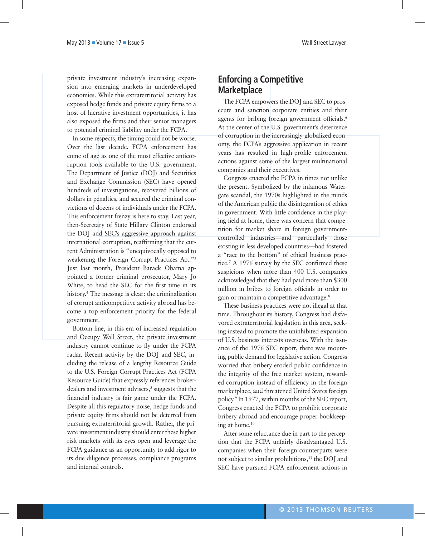private investment industry's increasing expansion into emerging markets in underdeveloped economies. While this extraterritorial activity has exposed hedge funds and private equity firms to a host of lucrative investment opportunities, it has also exposed the firms and their senior managers to potential criminal liability under the FCPA.

In some respects, the timing could not be worse. Over the last decade, FCPA enforcement has come of age as one of the most effective anticorruption tools available to the U.S. government. The Department of Justice (DOJ) and Securities and Exchange Commission (SEC) have opened hundreds of investigations, recovered billions of dollars in penalties, and secured the criminal convictions of dozens of individuals under the FCPA. This enforcement frenzy is here to stay. Last year, then-Secretary of State Hillary Clinton endorsed the DOJ and SEC's aggressive approach against international corruption, reaffirming that the current Administration is "unequivocally opposed to weakening the Foreign Corrupt Practices Act."3 Just last month, President Barack Obama appointed a former criminal prosecutor, Mary Jo White, to head the SEC for the first time in its history. 4 The message is clear: the criminalization of corrupt anticompetitive activity abroad has become a top enforcement priority for the federal government.

Bottom line, in this era of increased regulation and Occupy Wall Street, the private investment industry cannot continue to fly under the FCPA radar. Recent activity by the DOJ and SEC, including the release of a lengthy Resource Guide to the U.S. Foreign Corrupt Practices Act (FCPA Resource Guide) that expressly references brokerdealers and investment advisers,<sup>5</sup> suggests that the financial industry is fair game under the FCPA. Despite all this regulatory noise, hedge funds and private equity firms should not be deterred from pursuing extraterritorial growth. Rather, the private investment industry should enter these higher risk markets with its eyes open and leverage the FCPA guidance as an opportunity to add rigor to its due diligence processes, compliance programs and internal controls.

## **Enforcing a Competitive Marketplace**

The FCPA empowers the DOJ and SEC to prosecute and sanction corporate entities and their agents for bribing foreign government officials.<sup>6</sup> At the center of the U.S. government's deterrence of corruption in the increasingly globalized economy, the FCPA's aggressive application in recent years has resulted in high-profile enforcement actions against some of the largest multinational companies and their executives.

Congress enacted the FCPA in times not unlike the present. Symbolized by the infamous Watergate scandal, the 1970s highlighted in the minds of the American public the disintegration of ethics in government. With little confidence in the playing field at home, there was concern that competition for market share in foreign governmentcontrolled industries—and particularly those existing in less developed countries—had fostered a "race to the bottom" of ethical business practice.7 A 1976 survey by the SEC confirmed these suspicions when more than 400 U.S. companies acknowledged that they had paid more than \$300 million in bribes to foreign officials in order to gain or maintain a competitive advantage.8

These business practices were not illegal at that time. Throughout its history, Congress had disfavored extraterritorial legislation in this area, seeking instead to promote the uninhibited expansion of U.S. business interests overseas. With the issuance of the 1976 SEC report, there was mounting public demand for legislative action. Congress worried that bribery eroded public confidence in the integrity of the free market system, rewarded corruption instead of efficiency in the foreign marketplace, and threatened United States foreign policy.9 In 1977, within months of the SEC report, Congress enacted the FCPA to prohibit corporate bribery abroad and encourage proper bookkeeping at home. $10$ 

After some reluctance due in part to the perception that the FCPA unfairly disadvantaged U.S. companies when their foreign counterparts were not subject to similar prohibitions,<sup>11</sup> the DOJ and SEC have pursued FCPA enforcement actions in

© 2013 Thomson Reuters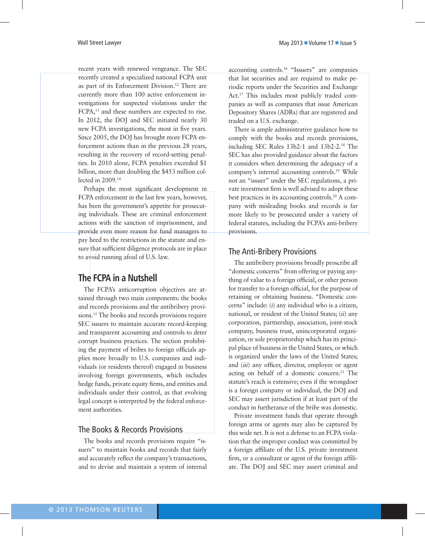Wall Street Lawyer **May 2013** Nolume 17 **n** Issue 5

recent years with renewed vengeance. The SEC recently created a specialized national FCPA unit as part of its Enforcement Division.<sup>12</sup> There are currently more than 100 active enforcement investigations for suspected violations under the FCPA,13 and these numbers are expected to rise. In 2012, the DOJ and SEC initiated nearly 30 new FCPA investigations, the most in five years. Since 2005, the DOJ has brought more FCPA enforcement actions than in the previous 28 years, resulting in the recovery of record-setting penalties. In 2010 alone, FCPA penalties exceeded \$1 billion, more than doubling the \$453 million collected in 2009.14

Perhaps the most significant development in FCPA enforcement in the last few years, however, has been the government's appetite for prosecuting individuals. These are criminal enforcement actions with the sanction of imprisonment, and provide even more reason for fund managers to pay heed to the restrictions in the statute and ensure that sufficient diligence protocols are in place to avoid running afoul of U.S. law.

# **The FCPA in a Nutshell**

The FCPA's anticorruption objectives are attained through two main components: the books and records provisions and the antibribery provisions.<sup>15</sup> The books and records provisions require SEC issuers to maintain accurate record-keeping and transparent accounting and controls to deter corrupt business practices. The section prohibiting the payment of bribes to foreign officials applies more broadly to U.S. companies and individuals (or residents thereof) engaged in business involving foreign governments, which includes hedge funds, private equity firms, and entities and individuals under their control, as that evolving legal concept is interpreted by the federal enforcement authorities.

## The Books & Records Provisions

The books and records provisions require "issuers" to maintain books and records that fairly and accurately reflect the company's transactions, and to devise and maintain a system of internal

accounting controls.16 "Issuers" are companies that list securities and are required to make periodic reports under the Securities and Exchange Act.17 This includes most publicly traded companies as well as companies that issue American Depository Shares (ADRs) that are registered and traded on a U.S. exchange.

There is ample administrative guidance how to comply with the books and records provisions, including SEC Rules 13b2-1 and 13b2-2.18 The SEC has also provided guidance about the factors it considers when determining the adequacy of a company's internal accounting controls.19 While not an "issuer" under the SEC regulations, a private investment firm is well advised to adopt these best practices in its accounting controls.<sup>20</sup> A company with misleading books and records is far more likely to be prosecuted under a variety of federal statutes, including the FCPA's anti-bribery provisions.

## The Anti-Bribery Provisions

The antibribery provisions broadly proscribe all "domestic concerns" from offering or paying anything of value to a foreign official, or other person for transfer to a foreign official, for the purpose of retaining or obtaining business. "Domestic concerns" include: (*i*) any individual who is a citizen, national, or resident of the United States; (*ii*) any corporation, partnership, association, joint-stock company, business trust, unincorporated organization, or sole proprietorship which has its principal place of business in the United States, or which is organized under the laws of the United States; and (*iii*) any officer, director, employee or agent acting on behalf of a domestic concern.<sup>21</sup> The statute's reach is extensive; even if the wrongdoer is a foreign company or individual, the DOJ and SEC may assert jurisdiction if at least part of the conduct in furtherance of the bribe was domestic.

Private investment funds that operate through foreign arms or agents may also be captured by this wide net. It is not a defense to an FCPA violation that the improper conduct was committed by a foreign affiliate of the U.S. private investment firm, or a consultant or agent of the foreign affiliate. The DOJ and SEC may assert criminal and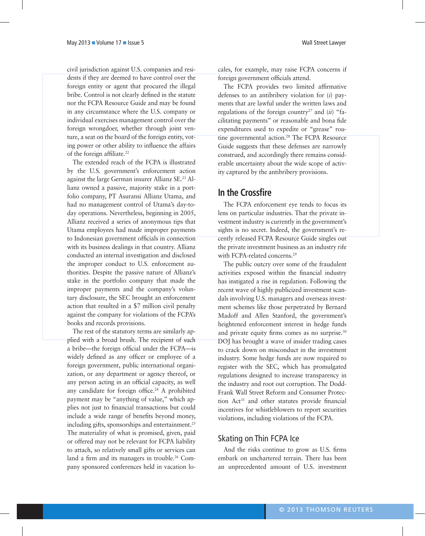civil jurisdiction against U.S. companies and residents if they are deemed to have control over the foreign entity or agent that procured the illegal bribe. Control is not clearly defined in the statute nor the FCPA Resource Guide and may be found in any circumstance where the U.S. company or individual exercises management control over the foreign wrongdoer, whether through joint venture, a seat on the board of the foreign entity, voting power or other ability to influence the affairs of the foreign affiliate.<sup>22</sup>

The extended reach of the FCPA is illustrated by the U.S. government's enforcement action against the large German insurer Allianz SE.23 Allianz owned a passive, majority stake in a portfolio company, PT Asuransi Allianz Utama, and had no management control of Utama's day-today operations. Nevertheless, beginning in 2005, Allianz received a series of anonymous tips that Utama employees had made improper payments to Indonesian government officials in connection with its business dealings in that country. Allianz conducted an internal investigation and disclosed the improper conduct to U.S. enforcement authorities. Despite the passive nature of Allianz's stake in the portfolio company that made the improper payments and the company's voluntary disclosure, the SEC brought an enforcement action that resulted in a \$7 million civil penalty against the company for violations of the FCPA's books and records provisions.

The rest of the statutory terms are similarly applied with a broad brush. The recipient of such a bribe—the foreign official under the FCPA—is widely defined as any officer or employee of a foreign government, public international organization, or any department or agency thereof, or any person acting in an official capacity, as well any candidate for foreign office.<sup>24</sup> A prohibited payment may be "anything of value," which applies not just to financial transactions but could include a wide range of benefits beyond money, including gifts, sponsorships and entertainment. $25$ The materiality of what is promised, given, paid or offered may not be relevant for FCPA liability to attach, so relatively small gifts or services can land a firm and its managers in trouble.26 Company sponsored conferences held in vacation locales, for example, may raise FCPA concerns if foreign government officials attend.

The FCPA provides two limited affirmative defenses to an antibribery violation for (*i*) payments that are lawful under the written laws and regulations of the foreign country<sup>27</sup> and  $(ii)$  "facilitating payments" or reasonable and bona fide expenditures used to expedite or "grease" routine governmental action.28 The FCPA Resource Guide suggests that these defenses are narrowly construed, and accordingly there remains considerable uncertainty about the wide scope of activity captured by the antibribery provisions.

#### **In the Crossfire**

The FCPA enforcement eye tends to focus its lens on particular industries. That the private investment industry is currently in the government's sights is no secret. Indeed, the government's recently released FCPA Resource Guide singles out the private investment business as an industry rife with FCPA-related concerns.<sup>29</sup>

The public outcry over some of the fraudulent activities exposed within the financial industry has instigated a rise in regulation. Following the recent wave of highly publicized investment scandals involving U.S. managers and overseas investment schemes like those perpetrated by Bernard Madoff and Allen Stanford, the government's heightened enforcement interest in hedge funds and private equity firms comes as no surprise.<sup>30</sup> DOJ has brought a wave of insider trading cases to crack down on misconduct in the investment industry. Some hedge funds are now required to register with the SEC, which has promulgated regulations designed to increase transparency in the industry and root out corruption. The Dodd-Frank Wall Street Reform and Consumer Protection Act<sup>31</sup> and other statutes provide financial incentives for whistleblowers to report securities violations, including violations of the FCPA.

#### Skating on Thin FCPA Ice

And the risks continue to grow as U.S. firms embark on unchartered terrain. There has been an unprecedented amount of U.S. investment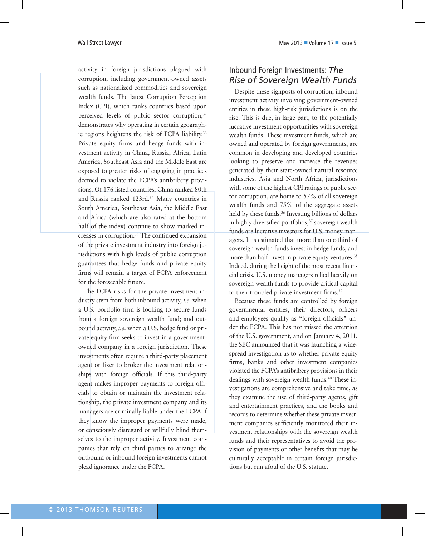activity in foreign jurisdictions plagued with corruption, including government-owned assets such as nationalized commodities and sovereign wealth funds. The latest Corruption Perception Index (CPI), which ranks countries based upon perceived levels of public sector corruption,<sup>32</sup> demonstrates why operating in certain geographic regions heightens the risk of FCPA liability.<sup>33</sup> Private equity firms and hedge funds with investment activity in China, Russia, Africa, Latin America, Southeast Asia and the Middle East are exposed to greater risks of engaging in practices deemed to violate the FCPA's antibribery provisions. Of 176 listed countries, China ranked 80th and Russia ranked 123rd.<sup>34</sup> Many countries in South America, Southeast Asia, the Middle East and Africa (which are also rated at the bottom half of the index) continue to show marked increases in corruption.35 The continued expansion of the private investment industry into foreign jurisdictions with high levels of public corruption guarantees that hedge funds and private equity firms will remain a target of FCPA enforcement for the foreseeable future.

The FCPA risks for the private investment industry stem from both inbound activity, *i.e.* when a U.S. portfolio firm is looking to secure funds from a foreign sovereign wealth fund; and outbound activity, *i.e.* when a U.S. hedge fund or private equity firm seeks to invest in a governmentowned company in a foreign jurisdiction. These investments often require a third-party placement agent or fixer to broker the investment relationships with foreign officials. If this third-party agent makes improper payments to foreign officials to obtain or maintain the investment relationship, the private investment company and its managers are criminally liable under the FCPA if they know the improper payments were made, or consciously disregard or willfully blind themselves to the improper activity. Investment companies that rely on third parties to arrange the outbound or inbound foreign investments cannot plead ignorance under the FCPA.

#### Inbound Foreign Investments: *The Rise of Sovereign Wealth Funds*

Despite these signposts of corruption, inbound investment activity involving government-owned entities in these high-risk jurisdictions is on the rise. This is due, in large part, to the potentially lucrative investment opportunities with sovereign wealth funds. These investment funds, which are owned and operated by foreign governments, are common in developing and developed countries looking to preserve and increase the revenues generated by their state-owned natural resource industries. Asia and North Africa, jurisdictions with some of the highest CPI ratings of public sector corruption, are home to 57% of all sovereign wealth funds and 75% of the aggregate assets held by these funds.<sup>36</sup> Investing billions of dollars in highly diversified portfolios, $37$  sovereign wealth funds are lucrative investors for U.S. money managers. It is estimated that more than one-third of sovereign wealth funds invest in hedge funds, and more than half invest in private equity ventures.<sup>38</sup> Indeed, during the height of the most recent financial crisis, U.S. money managers relied heavily on sovereign wealth funds to provide critical capital to their troubled private investment firms.<sup>39</sup>

Because these funds are controlled by foreign governmental entities, their directors, officers and employees qualify as "foreign officials" under the FCPA. This has not missed the attention of the U.S. government, and on January 4, 2011, the SEC announced that it was launching a widespread investigation as to whether private equity firms, banks and other investment companies violated the FCPA's antibribery provisions in their dealings with sovereign wealth funds.<sup>40</sup> These investigations are comprehensive and take time, as they examine the use of third-party agents, gift and entertainment practices, and the books and records to determine whether these private investment companies sufficiently monitored their investment relationships with the sovereign wealth funds and their representatives to avoid the provision of payments or other benefits that may be culturally acceptable in certain foreign jurisdictions but run afoul of the U.S. statute.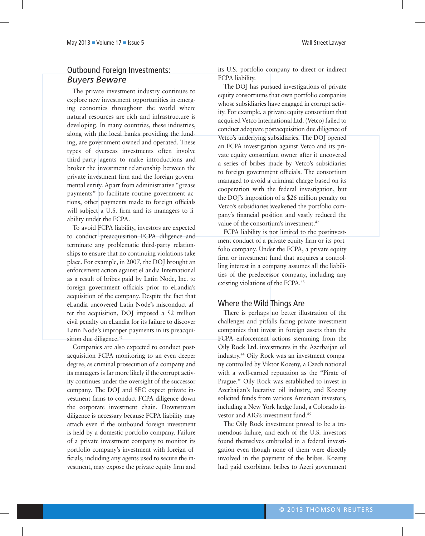#### Outbound Foreign Investments: *Buyers Beware*

The private investment industry continues to explore new investment opportunities in emerging economies throughout the world where natural resources are rich and infrastructure is developing. In many countries, these industries, along with the local banks providing the funding, are government owned and operated. These types of overseas investments often involve third-party agents to make introductions and broker the investment relationship between the private investment firm and the foreign governmental entity. Apart from administrative "grease payments" to facilitate routine government actions, other payments made to foreign officials will subject a U.S. firm and its managers to liability under the FCPA.

To avoid FCPA liability, investors are expected to conduct preacquisition FCPA diligence and terminate any problematic third-party relationships to ensure that no continuing violations take place. For example, in 2007, the DOJ brought an enforcement action against eLandia International as a result of bribes paid by Latin Node, Inc. to foreign government officials prior to eLandia's acquisition of the company. Despite the fact that eLandia uncovered Latin Node's misconduct after the acquisition, DOJ imposed a \$2 million civil penalty on eLandia for its failure to discover Latin Node's improper payments in its preacquisition due diligence.<sup>41</sup>

Companies are also expected to conduct postacquisition FCPA monitoring to an even deeper degree, as criminal prosecution of a company and its managers is far more likely if the corrupt activity continues under the oversight of the successor company. The DOJ and SEC expect private investment firms to conduct FCPA diligence down the corporate investment chain. Downstream diligence is necessary because FCPA liability may attach even if the outbound foreign investment is held by a domestic portfolio company. Failure of a private investment company to monitor its portfolio company's investment with foreign officials, including any agents used to secure the investment, may expose the private equity firm and its U.S. portfolio company to direct or indirect FCPA liability.

The DOJ has pursued investigations of private equity consortiums that own portfolio companies whose subsidiaries have engaged in corrupt activity. For example, a private equity consortium that acquired Vetco International Ltd. (Vetco) failed to conduct adequate postacquisition due diligence of Vetco's underlying subsidiaries. The DOJ opened an FCPA investigation against Vetco and its private equity consortium owner after it uncovered a series of bribes made by Vetco's subsidiaries to foreign government officials. The consortium managed to avoid a criminal charge based on its cooperation with the federal investigation, but the DOJ's imposition of a \$26 million penalty on Vetco's subsidiaries weakened the portfolio company's financial position and vastly reduced the value of the consortium's investment.<sup>42</sup>

FCPA liability is not limited to the postinvestment conduct of a private equity firm or its portfolio company. Under the FCPA, a private equity firm or investment fund that acquires a controlling interest in a company assumes all the liabilities of the predecessor company, including any existing violations of the FCPA.<sup>43</sup>

#### Where the Wild Things Are

There is perhaps no better illustration of the challenges and pitfalls facing private investment companies that invest in foreign assets than the FCPA enforcement actions stemming from the Oily Rock Ltd. investments in the Azerbaijan oil industry.44 Oily Rock was an investment company controlled by Viktor Kozeny, a Czech national with a well-earned reputation as the "Pirate of Prague." Oily Rock was established to invest in Azerbaijan's lucrative oil industry, and Kozeny solicited funds from various American investors, including a New York hedge fund, a Colorado investor and AIG's investment fund.45

The Oily Rock investment proved to be a tremendous failure, and each of the U.S. investors found themselves embroiled in a federal investigation even though none of them were directly involved in the payment of the bribes. Kozeny had paid exorbitant bribes to Azeri government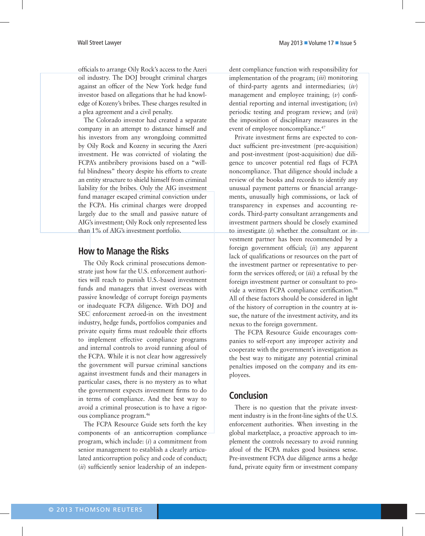Wall Street Lawyer **May 2013** November 2013 12:00 May 2013 November 2013 12:00 May 2013 12:00 May 2013 12:00 May 2013

officials to arrange Oily Rock's access to the Azeri oil industry. The DOJ brought criminal charges against an officer of the New York hedge fund investor based on allegations that he had knowledge of Kozeny's bribes. These charges resulted in a plea agreement and a civil penalty.

The Colorado investor had created a separate company in an attempt to distance himself and his investors from any wrongdoing committed by Oily Rock and Kozeny in securing the Azeri investment. He was convicted of violating the FCPA's antibribery provisions based on a "willful blindness" theory despite his efforts to create an entity structure to shield himself from criminal liability for the bribes. Only the AIG investment fund manager escaped criminal conviction under the FCPA. His criminal charges were dropped largely due to the small and passive nature of AIG's investment; Oily Rock only represented less than 1% of AIG's investment portfolio.

#### **How to Manage the Risks**

The Oily Rock criminal prosecutions demonstrate just how far the U.S. enforcement authorities will reach to punish U.S.-based investment funds and managers that invest overseas with passive knowledge of corrupt foreign payments or inadequate FCPA diligence. With DOJ and SEC enforcement zeroed-in on the investment industry, hedge funds, portfolios companies and private equity firms must redouble their efforts to implement effective compliance programs and internal controls to avoid running afoul of the FCPA. While it is not clear how aggressively the government will pursue criminal sanctions against investment funds and their managers in particular cases, there is no mystery as to what the government expects investment firms to do in terms of compliance. And the best way to avoid a criminal prosecution is to have a rigorous compliance program.46

The FCPA Resource Guide sets forth the key components of an anticorruption compliance program, which include: (*i*) a commitment from senior management to establish a clearly articulated anticorruption policy and code of conduct; (*ii*) sufficiently senior leadership of an independent compliance function with responsibility for implementation of the program; (*iii*) monitoring of third-party agents and intermediaries; (*iv*) management and employee training; (*v*) confidential reporting and internal investigation; (*vi*) periodic testing and program review; and (*vii*) the imposition of disciplinary measures in the event of employee noncompliance.<sup>47</sup>

Private investment firms are expected to conduct sufficient pre-investment (pre-acquisition) and post-investment (post-acquisition) due diligence to uncover potential red flags of FCPA noncompliance. That diligence should include a review of the books and records to identify any unusual payment patterns or financial arrangements, unusually high commissions, or lack of transparency in expenses and accounting records. Third-party consultant arrangements and investment partners should be closely examined to investigate (*i*) whether the consultant or investment partner has been recommended by a foreign government official; (*ii*) any apparent lack of qualifications or resources on the part of the investment partner or representative to perform the services offered; or (*iii*) a refusal by the foreign investment partner or consultant to provide a written FCPA compliance certification.<sup>48</sup> All of these factors should be considered in light of the history of corruption in the country at issue, the nature of the investment activity, and its nexus to the foreign government.

The FCPA Resource Guide encourages companies to self-report any improper activity and cooperate with the government's investigation as the best way to mitigate any potential criminal penalties imposed on the company and its employees.

# **Conclusion**

There is no question that the private investment industry is in the front-line sights of the U.S. enforcement authorities. When investing in the global marketplace, a proactive approach to implement the controls necessary to avoid running afoul of the FCPA makes good business sense. Pre-investment FCPA due diligence arms a hedge fund, private equity firm or investment company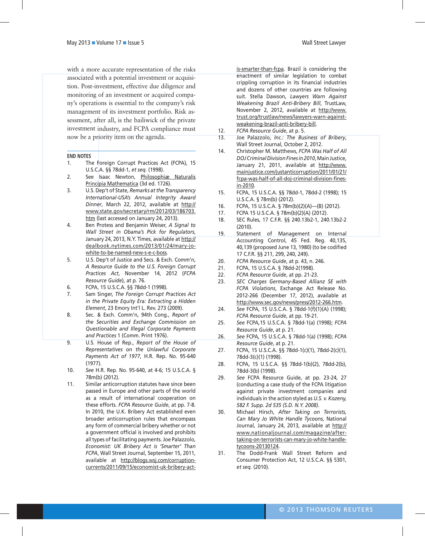with a more accurate representation of the risks associated with a potential investment or acquisition. Post-investment, effective due diligence and monitoring of an investment or acquired company's operations is essential to the company's risk management of its investment portfolio. Risk assessment, after all, is the bailiwick of the private investment industry, and FCPA compliance must now be a priority item on the agenda.

#### **END NOTES**

- 1. The Foreign Corrupt Practices Act (FCPA), 15 U.S.C.A. §§ 78dd-1, *et seq.* (1998).
- 2. See Isaac Newton, Philosophiæ Naturalis Principia Mathematica (3d ed. 1726).
- 3. U.S. Dep't of State, *Remarks at the Transparency International-USA's Annual Integrity Award Dinner*, March 22, 2012, available at http:// www.state.gov/secretary/rm/2012/03/186703. htm (last accessed on January 24, 2013).
- 4. Ben Protess and Benjamin Weiser, *A Signal to Wall Street in Obama's Pick for Regulators*, January 24, 2013, N.Y. Times, available at http:// dealbook.nytimes.com/2013/01/24/mary-jowhite-to-be-named-new-s-e-c-boss*.*
- 5. U.S. Dep't of Justice and Secs. & Exch. Comm'n, *A Resource Guide to the U.S. Foreign Corrupt Practices Act*, November 14, 2012 (*FCPA Resource Guide*), at p. 76.
- 6. FCPA, 15 U.S.C.A. §§ 78dd-1 (1998)*.*
- 7. Sam Singer, *The Foreign Corrupt Practices Act in the Private Equity Era: Extracting a Hidden Element*, 23 Emory Int'l L. Rev. 273 (2009).
- 8. Sec. & Exch. Comm'n, 94th Cong., *Report of the Securities and Exchange Commission on Questionable and Illegal Corporate Payments and Practices* 1 (Comm. Print 1976).
- 9. U.S. House of Rep., *Report of the House of Representatives on the Unlawful Corporate Payments Act of 1977*, H.R. Rep. No. 95-640 (1977).
- 10. *See* H.R. Rep. No. 95-640, at 4-6; 15 U.S.C.A. § 78m(b) (2012).
- 11. Similar anticorruption statutes have since been passed in Europe and other parts of the world as a result of international cooperation on these efforts. *FCPA Resource Guide*, at pp. 7-8. In 2010, the U.K. Bribery Act established even broader anticorruption rules that encompass any form of commercial bribery whether or not a government official is involved and prohibits all types of facilitating payments. Joe Palazzolo, *Economist: UK Bribery Act is 'Smarter' Than FCPA*, Wall Street Journal, September 15, 2011, available at http://blogs.wsj.com/corruptioncurrents/2011/09/15/economist-uk-bribery-act-

is-smarter-than-fcpa*.* Brazil is considering the enactment of similar legislation to combat crippling corruption in its financial industries and dozens of other countries are following suit. Stella Dawson, *Lawyers Warn Against Weakening Brazil Anti-Bribery Bill*, TrustLaw, November 2, 2012, available at http://www. trust.org/trustlaw/news/lawyers-warn-againstweakening-brazil-anti-bribery-bill.

- 12. *FCPA Resource Guide*, at p. 5.
- 13. Joe Palazzolo, *Inc.: The Business of Bribery*, Wall Street Journal, October 2, 2012.
- 14. Christopher M. Matthews, *FCPA Was Half of All DOJ Criminal Division Fines in 2010*, Main Justice, January 21, 2011, available at http://www. mainjustice.com/justanticorruption/2011/01/21/ fcpa-was-half-of-all-doj-criminal-division-finesin-2010*.*
- 15. FCPA, 15 U.S.C.A. §§ 78dd-1, 78dd-2 (1998); 15 U.S.C.A. § 78m(b) (2012).
- 16. FCPA, 15 U.S.C.A. § 78m(b)(2)(A)—(B) (2012).
- 17. FCPA 15 U.S.C.A. § 78m(b)(2)(A) (2012).
- 18. SEC Rules, 17 C.F.R. §§ 240.13b2-1, 240.13b2-2 (2010).
- 19. Statement of Management on Internal Accounting Control, 45 Fed. Reg. 40,135, 40,139 (proposed June 13, 1980) (to be codified 17 C.F.R. §§ 211, 299, 240, 249).
- 20. *FCPA Resource Guide*, at p. 43, n. 246.
- 21. FCPA, 15 U.S.C.A. § 78dd-2(1998).
- 22. *FCPA Resource Guide*, at pp. 21-23.
- 23. *SEC Charges Germany-Based Allianz SE with FCPA Violations*, Exchange Act Release No. 2012-266 (December 17, 2012), available at http://www.sec.gov/news/press/2012-266.htm*.*
- 24. *See* FCPA, 15 U.S.C.A. § 78dd-1(f)(1)(A) (1998); *FCPA Resource Guide*, at pp. 19-21.
- 25. *See* FCPA*,*15 U.S.C.A. § 78dd-1(a) (1998); *FCPA Resource Guide*, at p. 21.
- 26. *See* FCPA*,* 15 U.S.C.A. § 78dd-1(a) (1998); *FCPA Resource Guide*, at p. 21.
- 27. FCPA, 15 U.S.C.A. §§ 78dd-1(c)(1), 78dd-2(c)(1), 78dd-3(c)(1) (1998).
- 28. FCPA, 15 U.S.C.A. §§ 78dd-1(b)(2), 78dd-2(b), 78dd-3(b) (1998).
- 29. *See* FCPA Resource Guide, at pp. 23-24, 27 (conducting a case study of the FCPA litigation against private investment companies and individuals in the action styled as *U.S. v. Kozeny, 582 F. Supp. 2d 535 (S.D. N.Y. 2008)*.
- 30. Michael Hirsch, *After Taking on Terrorists, Can Mary Jo White Handle Tycoons*, National Journal, January 24, 2013, available at http:// www.nationaljournal.com/magazine/aftertaking-on-terrorists-can-mary-jo-white-handletycoons-20130124.
- 31. The Dodd-Frank Wall Street Reform and Consumer Protection Act, 12 U.S.C.A. §§ 5301, *et seq.* (2010).